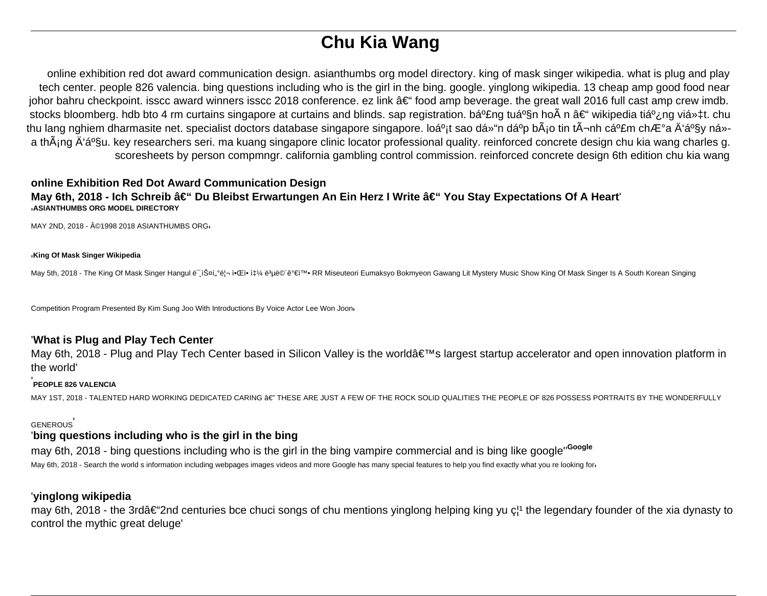# **Chu Kia Wang**

online exhibition red dot award communication design. asianthumbs org model directory. king of mask singer wikipedia. what is plug and play tech center. people 826 valencia. bing questions including who is the girl in the bing. google. yinglong wikipedia. 13 cheap amp good food near johor bahru checkpoint. isscc award winners isscc 2018 conference. ez link  $\hat{a} \in \hat{f}$  food amp beverage. the great wall 2016 full cast amp crew imdb. stocks bloomberg. hdb bto 4 rm curtains singapore at curtains and blinds. sap registration. bá<sup>o</sup>£ng tuá<sup>o</sup>§n hoà n – wikipedia tiá<sup>o</sup>¿ng viá»±t. chu thu lang nghiem dharmasite net. specialist doctors database singapore singapore. loá<sup>o</sup>it sao dồn dá<sup>o</sup>p bÂio tin t¬nh cá<sup>o</sup>£m chưa Ä'ầv ná»a thÂ<sub>i</sub>ng Ä'á<sup>o</sup>§u. key researchers seri. ma kuang singapore clinic locator professional quality. reinforced concrete design chu kia wang charles g. scoresheets by person compmngr. california gambling control commission. reinforced concrete design 6th edition chu kia wang

### **online Exhibition Red Dot Award Communication Design** May 6th, 2018 - Ich Schreib – Du Bleibst Erwartungen An Ein Herz I Write – You Stay Expectations Of A Heart '**ASIANTHUMBS ORG MODEL DIRECTORY**

MAY 2ND, 2018 - ©1998 2018 ASIANTHUMBS ORG

#### '**King Of Mask Singer Wikipedia**

May 5th, 2018 - The King Of Mask Singer Hangul ë iФí, ei-i•Œi• 쇼 ë uĕ©´ê ei™• RR Miseuteori Eumaksyo Bokmyeon Gawang Lit Mystery Music Show King Of Mask Singer Is A South Korean Singing

Competition Program Presented By Kim Sung Joo With Introductions By Voice Actor Lee Won Joon'

#### '**What is Plug and Play Tech Center**

May 6th, 2018 - Plug and Play Tech Center based in Silicon Valley is the world's largest startup accelerator and open innovation platform in the world'

#### '**PEOPLE 826 VALENCIA**

MAY 1ST, 2018 - TALENTED HARD WORKING DEDICATED CARING  $\hat{\bm{s}} \in \mathbb{T}$  THESE ARE JUST A FEW OF THE ROCK SOLID QUALITIES THE PEOPLE OF 826 POSSESS PORTRAITS BY THE WONDERFULLY

#### GENEROUS'

#### '**bing questions including who is the girl in the bing**

may 6th, 2018 - bing questions including who is the girl in the bing vampire commercial and is bing like google''**Google** May 6th, 2018 - Search the world s information including webpages images videos and more Google has many special features to help you find exactly what you re looking for

#### '**yinglong wikipedia**

may 6th, 2018 - the 3rd†and centuries bce chuci songs of chu mentions yinglong helping king yu c<sup>1</sup> the legendary founder of the xia dynasty to control the mythic great deluge'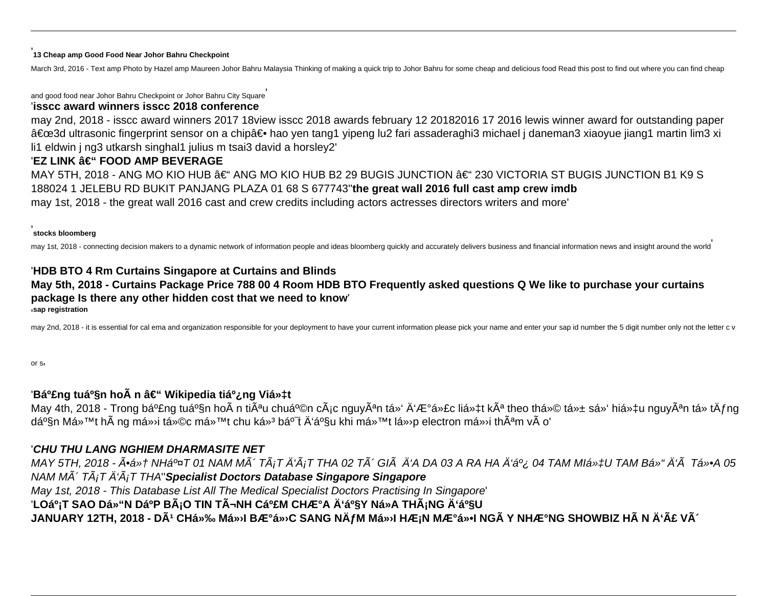#### '**13 Cheap amp Good Food Near Johor Bahru Checkpoint**

March 3rd, 2016 - Text amp Photo by Hazel amp Maureen Johor Bahru Malaysia Thinking of making a quick trip to Johor Bahru for some cheap and delicious food Read this post to find out where you can find cheap

and good food near Johor Bahru Checkpoint or Johor Bahru City Square' '**isscc award winners isscc 2018 conference**

## may 2nd, 2018 - isscc award winners 2017 18view isscc 2018 awards february 12 20182016 17 2016 lewis winner award for outstanding paper "3d ultrasonic fingerprint sensor on a chip― hao yen tang1 yipeng lu2 fari assaderaghi3 michael j daneman3 xiaoyue jiang1 martin lim3 xi li1 eldwin j ng3 utkarsh singhal1 julius m tsai3 david a horsley2'

## 'EZ LINK â€" FOOD AMP BEVERAGE

MAY 5TH, 2018 - ANG MO KIO HUB – ANG MO KIO HUB B2 29 BUGIS JUNCTION – 230 VICTORIA ST BUGIS JUNCTION B1 K9 S 188024 1 JELEBU RD BUKIT PANJANG PLAZA 01 68 S 677743''**the great wall 2016 full cast amp crew imdb** may 1st, 2018 - the great wall 2016 cast and crew credits including actors actresses directors writers and more'

#### '**stocks bloomberg**

may 1st, 2018 - connecting decision makers to a dynamic network of information people and ideas bloomberg quickly and accurately delivers business and financial information news and insight around the world

## '**HDB BTO 4 Rm Curtains Singapore at Curtains and Blinds May 5th, 2018 - Curtains Package Price 788 00 4 Room HDB BTO Frequently asked questions Q We like to purchase your curtains package Is there any other hidden cost that we need to know**' '**sap registration**

may 2nd, 2018 - it is essential for cal ema and organization responsible for your deployment to have your current information please pick your name and enter your sap id number the 5 digit number only not the letter c v

or s'

## 'Bá<sup>o</sup>£ng tuá<sup>o</sup>§n hoà n – Wikipedia tiá<sup>o</sup>¿ng Việt

May 4th, 2018 - Trong bá<sup>o</sup>£ng tuá<sup>o</sup>§n hoà n tiÃ<sup>a</sup>u chuá<sup>o</sup>©n cÃ<sub>i</sub>c nguyên tố Ä'ược liệt kê theo thứ tá»± số hiệu nguyên tá» tÄfng dần Má»™t hà ng má» i tức má»™t chu ká»<sup>3</sup> bá<sup>o-</sup>t Ä'ầu khi má»™t lá» p electron má» i thªm và o'

## '**CHU THU LANG NGHIEM DHARMASITE NET**

MAY 5TH, 2018 - Ấ•Ệ NHẤT 01 NAM MôTẤ¡T Ä'Ấ¡T THA 02 TôGIà Ä'A DA 03 A RA HA Ä'ế 04 TAM MIệU TAM Bồ Ä'à TổA 05 NAM Mô TáT đáT THA''**Specialist Doctors Database Singapore Singapore** May 1st, 2018 - This Database List All The Medical Specialist Doctors Practising In Singapore' 'LOạT SAO DồN DáºP BáO TIN TìNH CảM CHưA Ä'ầY Ná»A THáNG Ä'ầU JANUARY 12TH, 2018 - DÃ<sup>1</sup> CHỉ Má»<sup>,</sup>I Bưá»<sup>,</sup>C SANG NÄfM Má»<sup>,</sup>I HÆ¡N MưổI NGà Y NHưNG SHOWBIZ Hà N Ä'ã Vô